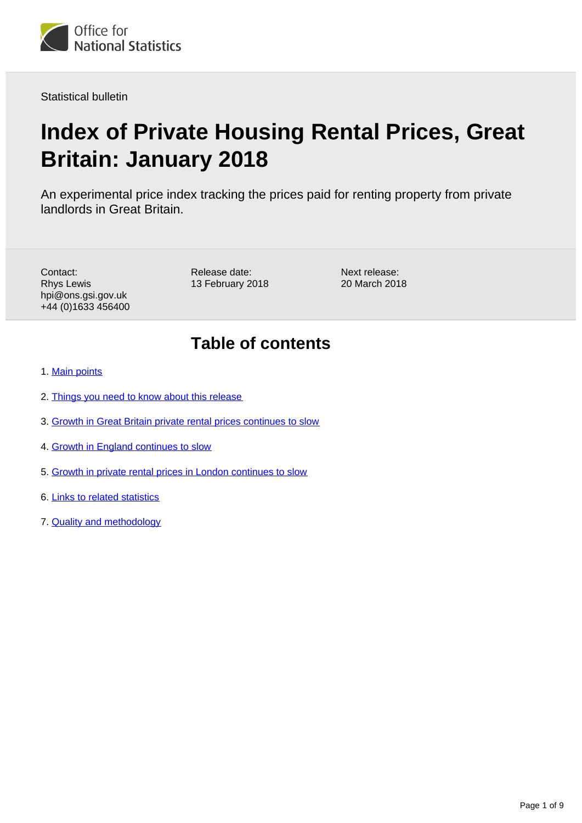

Statistical bulletin

# **Index of Private Housing Rental Prices, Great Britain: January 2018**

An experimental price index tracking the prices paid for renting property from private landlords in Great Britain.

Contact: Rhys Lewis hpi@ons.gsi.gov.uk +44 (0)1633 456400 Release date: 13 February 2018

Next release: 20 March 2018

# **Table of contents**

- 1. [Main points](#page-1-0)
- 2. [Things you need to know about this release](#page-1-1)
- 3. [Growth in Great Britain private rental prices continues to slow](#page-2-0)
- 4. [Growth in England continues to slow](#page-3-0)
- 5. [Growth in private rental prices in London continues to slow](#page-5-0)
- 6. [Links to related statistics](#page-7-0)
- 7. [Quality and methodology](#page-8-0)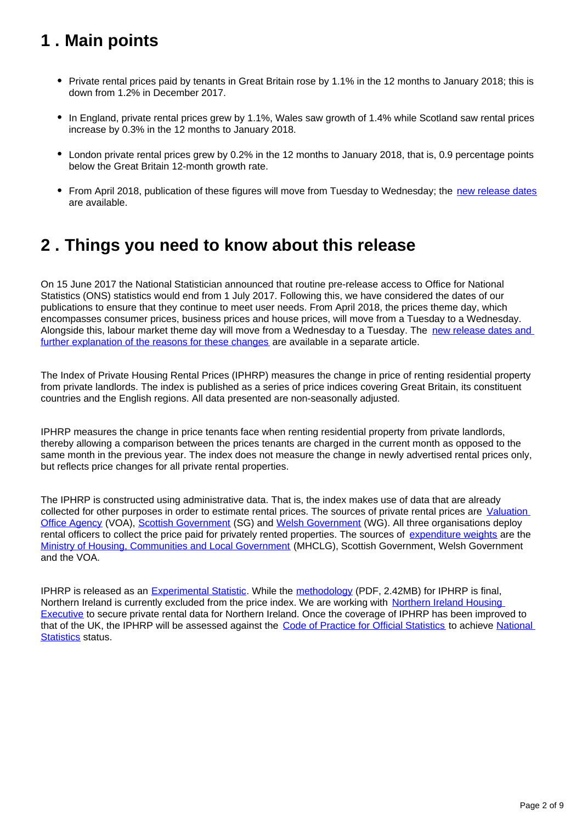# <span id="page-1-0"></span>**1 . Main points**

- Private rental prices paid by tenants in Great Britain rose by 1.1% in the 12 months to January 2018; this is down from 1.2% in December 2017.
- In England, private rental prices grew by 1.1%, Wales saw growth of 1.4% while Scotland saw rental prices increase by 0.3% in the 12 months to January 2018.
- London private rental prices grew by 0.2% in the 12 months to January 2018, that is, 0.9 percentage points below the Great Britain 12-month growth rate.
- From April 2018, publication of these figures will move from Tuesday to Wednesday; the [new release dates](https://www.ons.gov.uk/news/statementsandletters/changestoonsreleasetimetable) are available.

# <span id="page-1-1"></span>**2 . Things you need to know about this release**

On 15 June 2017 the National Statistician announced that routine pre-release access to Office for National Statistics (ONS) statistics would end from 1 July 2017. Following this, we have considered the dates of our publications to ensure that they continue to meet user needs. From April 2018, the prices theme day, which encompasses consumer prices, business prices and house prices, will move from a Tuesday to a Wednesday. Alongside this, labour market theme day will move from a Wednesday to a Tuesday. The new release dates and [further explanation of the reasons for these changes](https://www.ons.gov.uk/news/statementsandletters/changestoonsreleasetimetable) are available in a separate article.

The Index of Private Housing Rental Prices (IPHRP) measures the change in price of renting residential property from private landlords. The index is published as a series of price indices covering Great Britain, its constituent countries and the English regions. All data presented are non-seasonally adjusted.

IPHRP measures the change in price tenants face when renting residential property from private landlords, thereby allowing a comparison between the prices tenants are charged in the current month as opposed to the same month in the previous year. The index does not measure the change in newly advertised rental prices only, but reflects price changes for all private rental properties.

The IPHRP is constructed using administrative data. That is, the index makes use of data that are already collected for other purposes in order to estimate rental prices. The sources of private rental prices are Valuation [Office Agency](https://www.gov.uk/government/organisations/valuation-office-agency) (VOA), [Scottish Government](http://www.gov.scot/) (SG) and [Welsh Government](http://gov.wales/?lang=en) (WG). All three organisations deploy rental officers to collect the price paid for privately rented properties. The sources of [expenditure weights](https://www.ons.gov.uk/economy/inflationandpriceindices/datasets/indexofprivatehousingrentalpricesweightsanalysis) are the [Ministry of Housing, Communities and Local Government](https://www.gov.uk/government/organisations/ministry-of-housing-communities-and-local-government) (MHCLG), Scottish Government, Welsh Government and the VOA.

IPHRP is released as an **[Experimental Statistic](http://www.ons.gov.uk/methodology/methodologytopicsandstatisticalconcepts/guidetoexperimentalstatistics)**. While the [methodology](http://webarchive.nationalarchives.gov.uk/20160105160709/http:/www.ons.gov.uk/ons/guide-method/user-guidance/prices/cpi-and-rpi/improvements-to-the-measurement-of-owner-occupiers--housing.pdf) (PDF, 2.42MB) for IPHRP is final, Northern Ireland is currently excluded from the price index. We are working with Northern Ireland Housing [Executive](http://www.nihe.gov.uk/) to secure private rental data for Northern Ireland. Once the coverage of IPHRP has been improved to that of the UK, the IPHRP will be assessed against the [Code of Practice for Official Statistics](https://www.statisticsauthority.gov.uk/monitoring-and-assessment/code-of-practice/) to achieve National [Statistics](https://www.statisticsauthority.gov.uk/national-statistician/types-of-official-statistics/) status.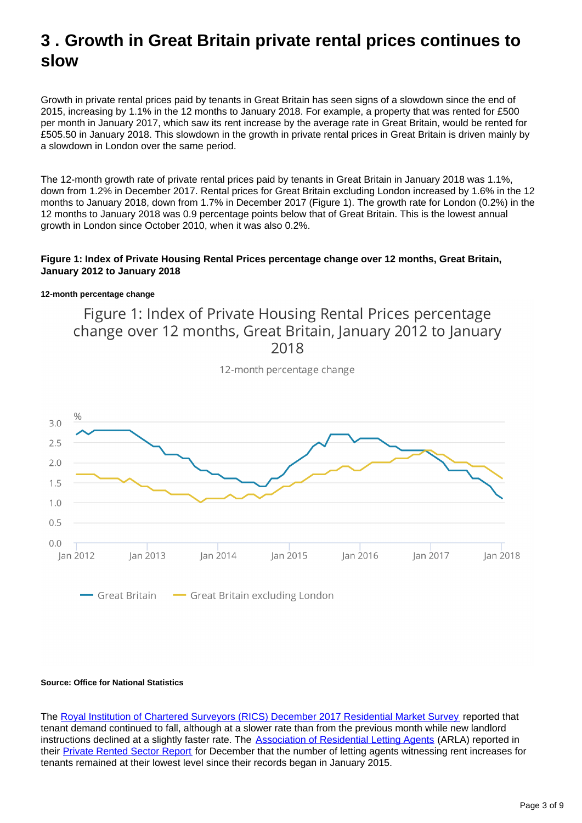## <span id="page-2-0"></span>**3 . Growth in Great Britain private rental prices continues to slow**

Growth in private rental prices paid by tenants in Great Britain has seen signs of a slowdown since the end of 2015, increasing by 1.1% in the 12 months to January 2018. For example, a property that was rented for £500 per month in January 2017, which saw its rent increase by the average rate in Great Britain, would be rented for £505.50 in January 2018. This slowdown in the growth in private rental prices in Great Britain is driven mainly by a slowdown in London over the same period.

The 12-month growth rate of private rental prices paid by tenants in Great Britain in January 2018 was 1.1%, down from 1.2% in December 2017. Rental prices for Great Britain excluding London increased by 1.6% in the 12 months to January 2018, down from 1.7% in December 2017 (Figure 1). The growth rate for London (0.2%) in the 12 months to January 2018 was 0.9 percentage points below that of Great Britain. This is the lowest annual growth in London since October 2010, when it was also 0.2%.

### **Figure 1: Index of Private Housing Rental Prices percentage change over 12 months, Great Britain, January 2012 to January 2018**

### **12-month percentage change**

Figure 1: Index of Private Housing Rental Prices percentage change over 12 months, Great Britain, January 2012 to January 2018



12-month percentage change

### **Source: Office for National Statistics**

The [Royal Institution of Chartered Surveyors \(RICS\) December 2017 Residential Market Survey](http://www.rics.org/uk/knowledge/market-analysis/rics-residential-market-survey/) reported that tenant demand continued to fall, although at a slower rate than from the previous month while new landlord instructions declined at a slightly faster rate. The **Association of Residential Letting Agents** (ARLA) reported in their [Private Rented Sector Report](http://www.arla.co.uk/lobbying/private-rented-sector-reports/) for December that the number of letting agents witnessing rent increases for tenants remained at their lowest level since their records began in January 2015.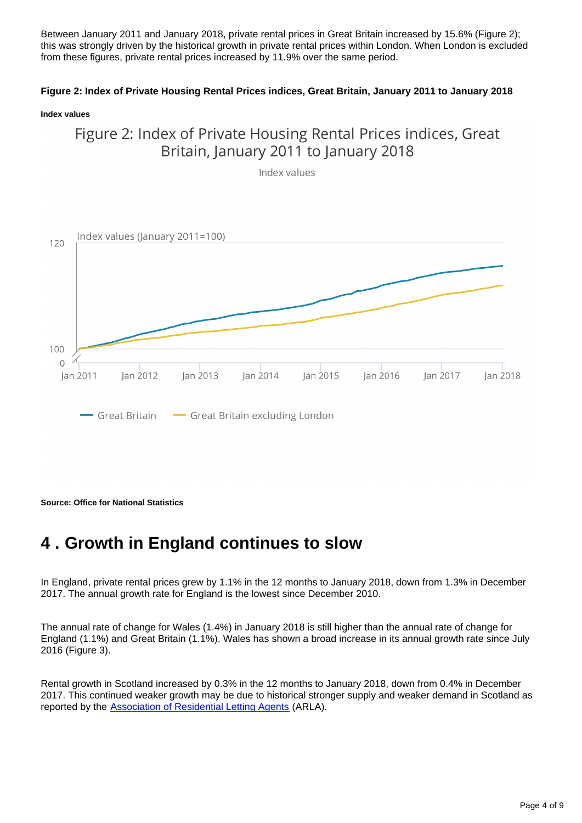Between January 2011 and January 2018, private rental prices in Great Britain increased by 15.6% (Figure 2); this was strongly driven by the historical growth in private rental prices within London. When London is excluded from these figures, private rental prices increased by 11.9% over the same period.

### **Figure 2: Index of Private Housing Rental Prices indices, Great Britain, January 2011 to January 2018**

#### **Index values**

### Figure 2: Index of Private Housing Rental Prices indices, Great Britain, January 2011 to January 2018

Index values



**Source: Office for National Statistics**

### <span id="page-3-0"></span>**4 . Growth in England continues to slow**

In England, private rental prices grew by 1.1% in the 12 months to January 2018, down from 1.3% in December 2017. The annual growth rate for England is the lowest since December 2010.

The annual rate of change for Wales (1.4%) in January 2018 is still higher than the annual rate of change for England (1.1%) and Great Britain (1.1%). Wales has shown a broad increase in its annual growth rate since July 2016 (Figure 3).

Rental growth in Scotland increased by 0.3% in the 12 months to January 2018, down from 0.4% in December 2017. This continued weaker growth may be due to historical stronger supply and weaker demand in Scotland as reported by the [Association of Residential Letting Agents](http://www.arla.co.uk/lobbying/private-rented-sector-reports/) (ARLA).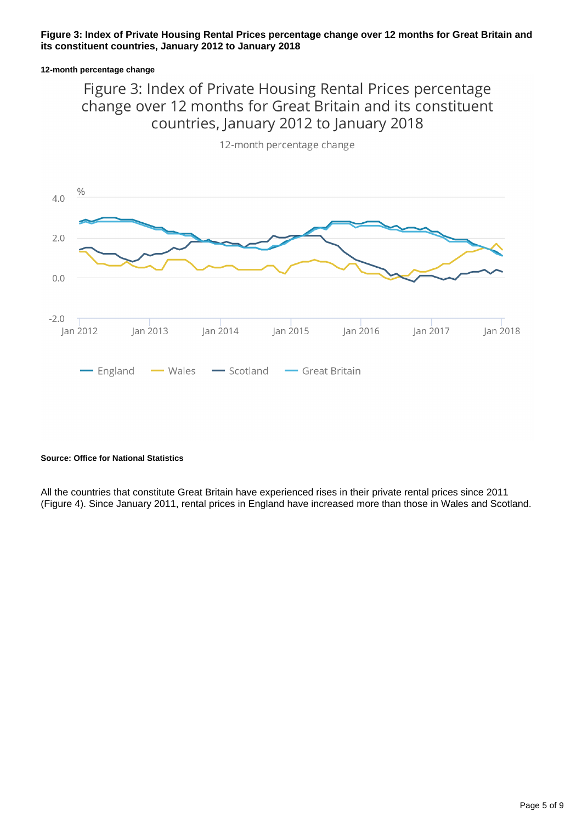### **Figure 3: Index of Private Housing Rental Prices percentage change over 12 months for Great Britain and its constituent countries, January 2012 to January 2018**

#### **12-month percentage change**

### Figure 3: Index of Private Housing Rental Prices percentage change over 12 months for Great Britain and its constituent countries, January 2012 to January 2018



12-month percentage change

#### **Source: Office for National Statistics**

All the countries that constitute Great Britain have experienced rises in their private rental prices since 2011 (Figure 4). Since January 2011, rental prices in England have increased more than those in Wales and Scotland.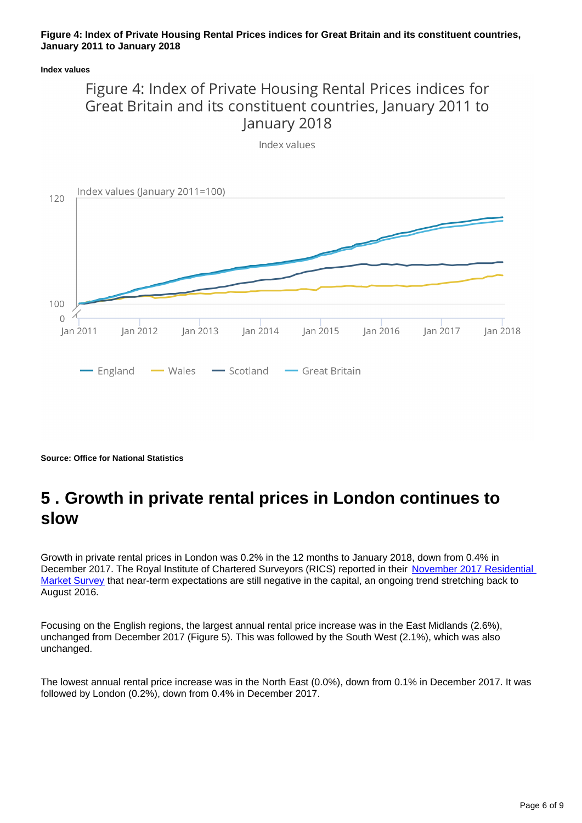### **Figure 4: Index of Private Housing Rental Prices indices for Great Britain and its constituent countries, January 2011 to January 2018**

### **Index values**





**Source: Office for National Statistics**

# <span id="page-5-0"></span>**5 . Growth in private rental prices in London continues to slow**

Growth in private rental prices in London was 0.2% in the 12 months to January 2018, down from 0.4% in December 2017. The Royal Institute of Chartered Surveyors (RICS) reported in their November 2017 Residential [Market Survey](http://www.rics.org/uk/knowledge/market-analysis/rics-residential-market-survey/) that near-term expectations are still negative in the capital, an ongoing trend stretching back to August 2016.

Focusing on the English regions, the largest annual rental price increase was in the East Midlands (2.6%), unchanged from December 2017 (Figure 5). This was followed by the South West (2.1%), which was also unchanged.

The lowest annual rental price increase was in the North East (0.0%), down from 0.1% in December 2017. It was followed by London (0.2%), down from 0.4% in December 2017.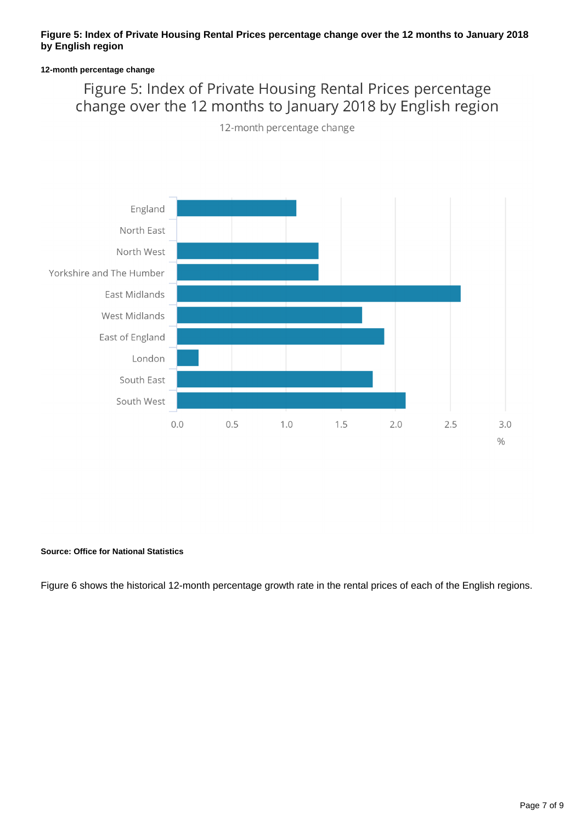### **Figure 5: Index of Private Housing Rental Prices percentage change over the 12 months to January 2018 by English region**

### **12-month percentage change**

### Figure 5: Index of Private Housing Rental Prices percentage change over the 12 months to January 2018 by English region

12-month percentage change



### **Source: Office for National Statistics**

Figure 6 shows the historical 12-month percentage growth rate in the rental prices of each of the English regions.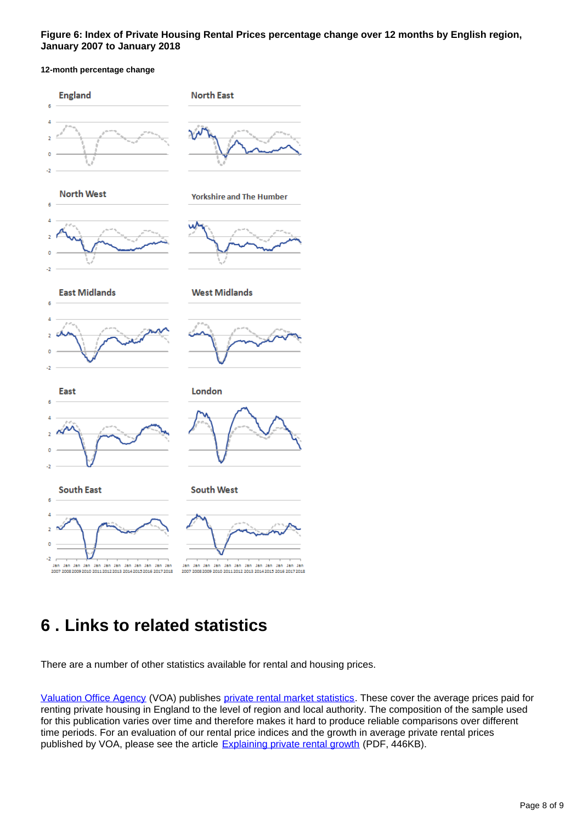### **Figure 6: Index of Private Housing Rental Prices percentage change over 12 months by English region, January 2007 to January 2018**

### **12-month percentage change**



# <span id="page-7-0"></span>**6 . Links to related statistics**

There are a number of other statistics available for rental and housing prices.

[Valuation Office Agency](http://www.voa.gov.uk/) (VOA) publishes [private rental market statistics](https://www.gov.uk/government/collections/private-rental-market-statistics). These cover the average prices paid for renting private housing in England to the level of region and local authority. The composition of the sample used for this publication varies over time and therefore makes it hard to produce reliable comparisons over different time periods. For an evaluation of our rental price indices and the growth in average private rental prices published by VOA, please see the article **[Explaining private rental growth](http://www.ons.gov.uk/ons/guide-method/user-guidance/prices/cpi-and-rpi/explaining-private-rental-growth.pdf)** (PDF, 446KB).